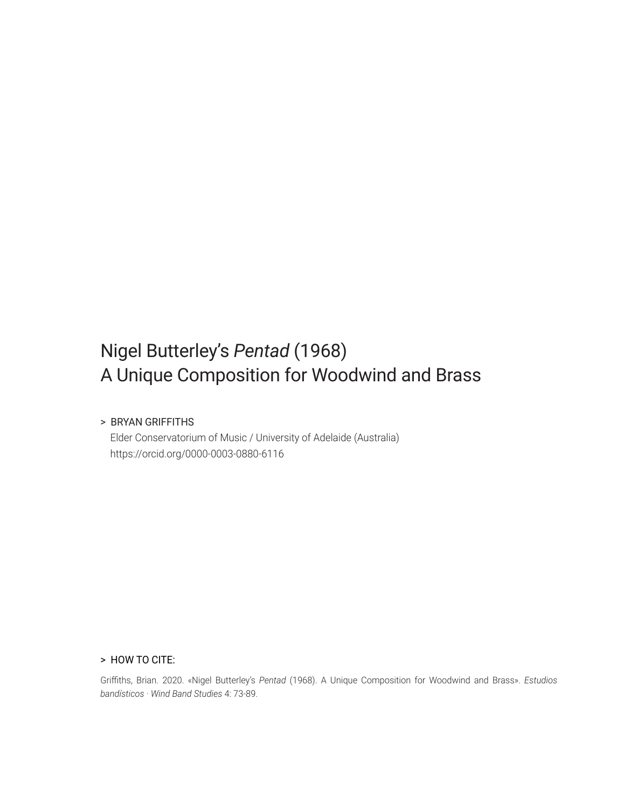# Nigel Butterley's *Pentad* (1968) A Unique Composition for Woodwind and Brass

#### > BRYAN GRIFFITHS

 Elder Conservatorium of Music / University of Adelaide (Australia) https://orcid.org/0000-0003-0880-6116

#### > HOW TO CITE:

Griffiths, Brian. 2020. «Nigel Butterley's Pentad (1968). A Unique Composition for Woodwind and Brass». *Estudios bandísticos · Wind Band Studies* 4: 73-89.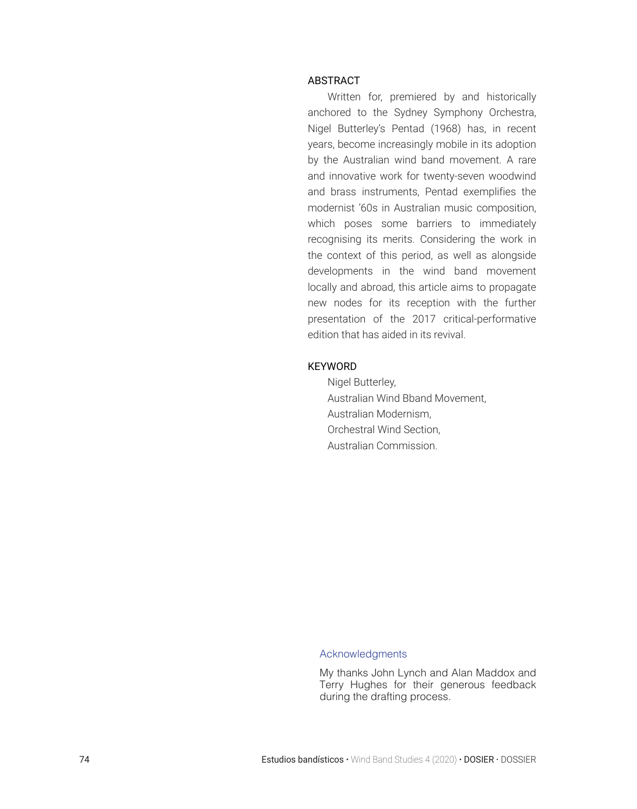#### ABSTRACT

Written for, premiered by and historically anchored to the Sydney Symphony Orchestra, Nigel Butterley's Pentad (1968) has, in recent years, become increasingly mobile in its adoption by the Australian wind band movement. A rare and innovative work for twenty-seven woodwind and brass instruments, Pentad exemplifies the modernist '60s in Australian music composition, which poses some barriers to immediately recognising its merits. Considering the work in the context of this period, as well as alongside developments in the wind band movement locally and abroad, this article aims to propagate new nodes for its reception with the further presentation of the 2017 critical-performative edition that has aided in its revival.

#### **KEYWORD**

Nigel Butterley, Australian Wind Bband Movement, Australian Modernism, Orchestral Wind Section, Australian Commission.

#### Acknowledgments

My thanks John Lynch and Alan Maddox and Terry Hughes for their generous feedback during the drafting process.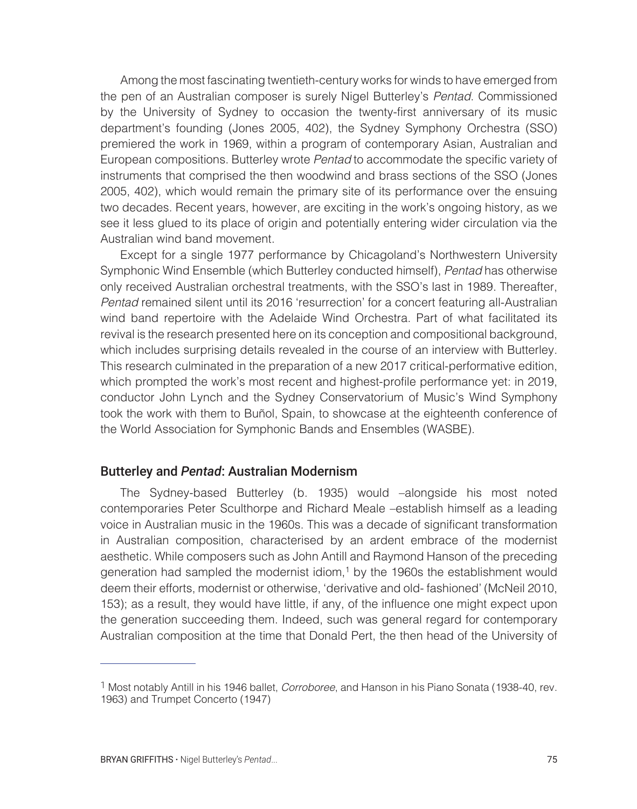Among the most fascinating twentieth-century works for winds to have emerged from the pen of an Australian composer is surely Nigel Butterley's Pentad. Commissioned by the University of Sydney to occasion the twenty-first anniversary of its music department's founding (Jones 2005, 402), the Sydney Symphony Orchestra (SSO) premiered the work in 1969, within a program of contemporary Asian, Australian and European compositions. Butterley wrote Pentad to accommodate the specific variety of instruments that comprised the then woodwind and brass sections of the SSO (Jones 2005, 402), which would remain the primary site of its performance over the ensuing two decades. Recent years, however, are exciting in the work's ongoing history, as we see it less glued to its place of origin and potentially entering wider circulation via the Australian wind band movement.

Except for a single 1977 performance by Chicagoland's Northwestern University Symphonic Wind Ensemble (which Butterley conducted himself), Pentad has otherwise only received Australian orchestral treatments, with the SSO's last in 1989. Thereafter, Pentad remained silent until its 2016 'resurrection' for a concert featuring all-Australian wind band repertoire with the Adelaide Wind Orchestra. Part of what facilitated its revival is the research presented here on its conception and compositional background, which includes surprising details revealed in the course of an interview with Butterley. This research culminated in the preparation of a new 2017 critical-performative edition, which prompted the work's most recent and highest-profile performance yet: in 2019, conductor John Lynch and the Sydney Conservatorium of Music's Wind Symphony took the work with them to Buñol, Spain, to showcase at the eighteenth conference of the World Association for Symphonic Bands and Ensembles (WASBE).

# Butterley and *Pentad*: Australian Modernism

The Sydney-based Butterley (b. 1935) would –alongside his most noted contemporaries Peter Sculthorpe and Richard Meale –establish himself as a leading voice in Australian music in the 1960s. This was a decade of significant transformation in Australian composition, characterised by an ardent embrace of the modernist aesthetic. While composers such as John Antill and Raymond Hanson of the preceding generation had sampled the modernist idiom,1 by the 1960s the establishment would deem their efforts, modernist or otherwise, 'derivative and old- fashioned' (McNeil 2010, 153); as a result, they would have little, if any, of the influence one might expect upon the generation succeeding them. Indeed, such was general regard for contemporary Australian composition at the time that Donald Pert, the then head of the University of

<sup>1</sup> Most notably Antill in his 1946 ballet, Corroboree, and Hanson in his Piano Sonata (1938-40, rev. 1963) and Trumpet Concerto (1947)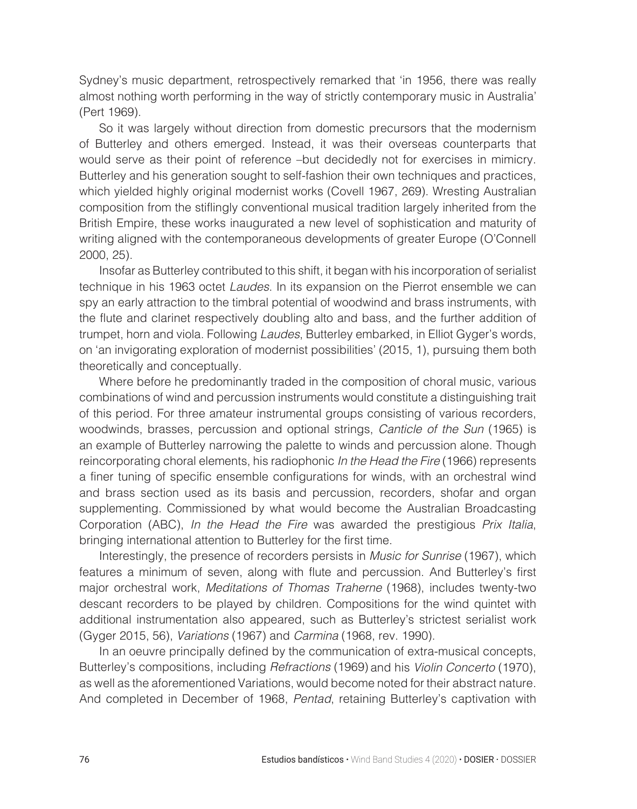Sydney's music department, retrospectively remarked that 'in 1956, there was really almost nothing worth performing in the way of strictly contemporary music in Australia' (Pert 1969).

So it was largely without direction from domestic precursors that the modernism of Butterley and others emerged. Instead, it was their overseas counterparts that would serve as their point of reference –but decidedly not for exercises in mimicry. Butterley and his generation sought to self-fashion their own techniques and practices, which yielded highly original modernist works (Covell 1967, 269). Wresting Australian composition from the stiflingly conventional musical tradition largely inherited from the British Empire, these works inaugurated a new level of sophistication and maturity of writing aligned with the contemporaneous developments of greater Europe (O'Connell 2000, 25).

Insofar as Butterley contributed to this shift, it began with his incorporation of serialist technique in his 1963 octet Laudes. In its expansion on the Pierrot ensemble we can spy an early attraction to the timbral potential of woodwind and brass instruments, with the flute and clarinet respectively doubling alto and bass, and the further addition of trumpet, horn and viola. Following Laudes, Butterley embarked, in Elliot Gyger's words, on 'an invigorating exploration of modernist possibilities' (2015, 1), pursuing them both theoretically and conceptually.

Where before he predominantly traded in the composition of choral music, various combinations of wind and percussion instruments would constitute a distinguishing trait of this period. For three amateur instrumental groups consisting of various recorders, woodwinds, brasses, percussion and optional strings, *Canticle of the Sun* (1965) is an example of Butterley narrowing the palette to winds and percussion alone. Though reincorporating choral elements, his radiophonic *In the Head the Fire* (1966) represents a finer tuning of specific ensemble configurations for winds, with an orchestral wind and brass section used as its basis and percussion, recorders, shofar and organ supplementing. Commissioned by what would become the Australian Broadcasting Corporation (ABC), In the Head the Fire was awarded the prestigious Prix Italia, bringing international attention to Butterley for the first time.

Interestingly, the presence of recorders persists in Music for Sunrise (1967), which features a minimum of seven, along with flute and percussion. And Butterley's first major orchestral work, Meditations of Thomas Traherne (1968), includes twenty-two descant recorders to be played by children. Compositions for the wind quintet with additional instrumentation also appeared, such as Butterley's strictest serialist work (Gyger 2015, 56), Variations (1967) and Carmina (1968, rev. 1990).

In an oeuvre principally defined by the communication of extra-musical concepts, Butterley's compositions, including Refractions (1969) and his Violin Concerto (1970), as well as the aforementioned Variations, would become noted for their abstract nature. And completed in December of 1968, Pentad, retaining Butterley's captivation with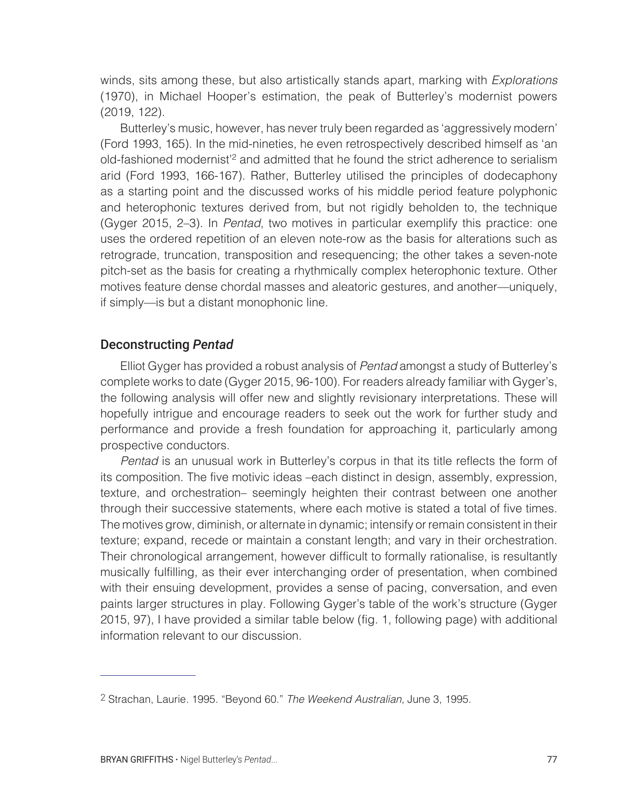winds, sits among these, but also artistically stands apart, marking with *Explorations* (1970), in Michael Hooper's estimation, the peak of Butterley's modernist powers (2019, 122).

Butterley's music, however, has never truly been regarded as 'aggressively modern' (Ford 1993, 165). In the mid-nineties, he even retrospectively described himself as 'an old-fashioned modernist'2 and admitted that he found the strict adherence to serialism arid (Ford 1993, 166-167). Rather, Butterley utilised the principles of dodecaphony as a starting point and the discussed works of his middle period feature polyphonic and heterophonic textures derived from, but not rigidly beholden to, the technique (Gyger 2015, 2–3). In Pentad, two motives in particular exemplify this practice: one uses the ordered repetition of an eleven note-row as the basis for alterations such as retrograde, truncation, transposition and resequencing; the other takes a seven-note pitch-set as the basis for creating a rhythmically complex heterophonic texture. Other motives feature dense chordal masses and aleatoric gestures, and another—uniquely, if simply—is but a distant monophonic line.

# Deconstructing *Pentad*

Elliot Gyger has provided a robust analysis of Pentad amongst a study of Butterley's complete works to date (Gyger 2015, 96-100). For readers already familiar with Gyger's, the following analysis will offer new and slightly revisionary interpretations. These will hopefully intrigue and encourage readers to seek out the work for further study and performance and provide a fresh foundation for approaching it, particularly among prospective conductors.

Pentad is an unusual work in Butterley's corpus in that its title reflects the form of its composition. The five motivic ideas –each distinct in design, assembly, expression, texture, and orchestration– seemingly heighten their contrast between one another through their successive statements, where each motive is stated a total of five times. The motives grow, diminish, or alternate in dynamic; intensify or remain consistent in their texture; expand, recede or maintain a constant length; and vary in their orchestration. Their chronological arrangement, however difficult to formally rationalise, is resultantly musically fulfilling, as their ever interchanging order of presentation, when combined with their ensuing development, provides a sense of pacing, conversation, and even paints larger structures in play. Following Gyger's table of the work's structure (Gyger 2015, 97), I have provided a similar table below (fig. 1, following page) with additional information relevant to our discussion.

<sup>2</sup> Strachan, Laurie. 1995. "Beyond 60." The Weekend Australian, June 3, 1995.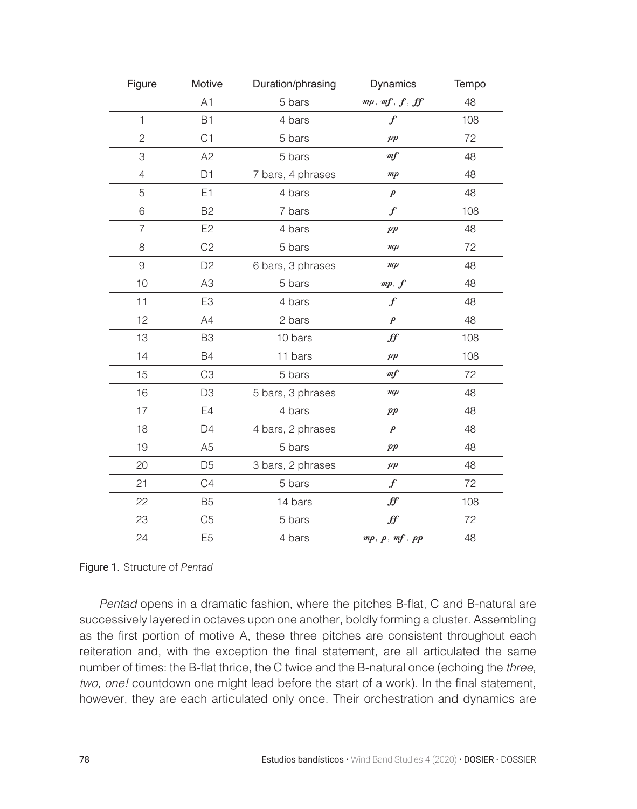| Figure         | Motive         | Duration/phrasing | Dynamics          | Tempo |
|----------------|----------------|-------------------|-------------------|-------|
|                | A1             | 5 bars            | mp, mf, f, ff     | 48    |
| $\mathbf{1}$   | <b>B1</b>      | 4 bars            | $\mathcal{F}_{0}$ | 108   |
| $\overline{c}$ | C <sub>1</sub> | 5 bars            | $_{pp}$           | 72    |
| 3              | A2             | 5 bars            | m f               | 48    |
| $\overline{4}$ | D <sub>1</sub> | 7 bars, 4 phrases | mp                | 48    |
| 5              | E1             | 4 bars            | $\boldsymbol{p}$  | 48    |
| 6              | <b>B2</b>      | 7 bars            | $\mathcal{f}$     | 108   |
| 7              | E <sub>2</sub> | 4 bars            | $_{pp}$           | 48    |
| 8              | C <sub>2</sub> | 5 bars            | mp                | 72    |
| $\overline{9}$ | D <sub>2</sub> | 6 bars, 3 phrases | mp                | 48    |
| 10             | A <sub>3</sub> | 5 bars            | mp, f             | 48    |
| 11             | E <sub>3</sub> | 4 bars            | $\boldsymbol{f}$  | 48    |
| 12             | A4             | 2 bars            | $\boldsymbol{p}$  | 48    |
| 13             | B <sub>3</sub> | 10 bars           | f f               | 108   |
| 14             | <b>B4</b>      | 11 bars           | $_{pp}$           | 108   |
| 15             | C <sub>3</sub> | 5 bars            | m f               | 72    |
| 16             | D <sub>3</sub> | 5 bars, 3 phrases | mp                | 48    |
| 17             | E4             | 4 bars            | $_{pp}$           | 48    |
| 18             | D <sub>4</sub> | 4 bars, 2 phrases | $\boldsymbol{p}$  | 48    |
| 19             | A <sub>5</sub> | 5 bars            | $_{pp}$           | 48    |
| 20             | D <sub>5</sub> | 3 bars, 2 phrases | $_{pp}$           | 48    |
| 21             | C4             | 5 bars            | $\mathcal{F}_{0}$ | 72    |
| 22             | <b>B5</b>      | 14 bars           | ∯                 | 108   |
| 23             | C <sub>5</sub> | 5 bars            | ff                | 72    |
| 24             | E <sub>5</sub> | 4 bars            | mp, p, mf, pp     | 48    |

Figure 1. Structure of *Pentad*

Pentad opens in a dramatic fashion, where the pitches B-flat, C and B-natural are successively layered in octaves upon one another, boldly forming a cluster. Assembling as the first portion of motive A, these three pitches are consistent throughout each reiteration and, with the exception the final statement, are all articulated the same number of times: the B-flat thrice, the C twice and the B-natural once (echoing the three, two, one! countdown one might lead before the start of a work). In the final statement, however, they are each articulated only once. Their orchestration and dynamics are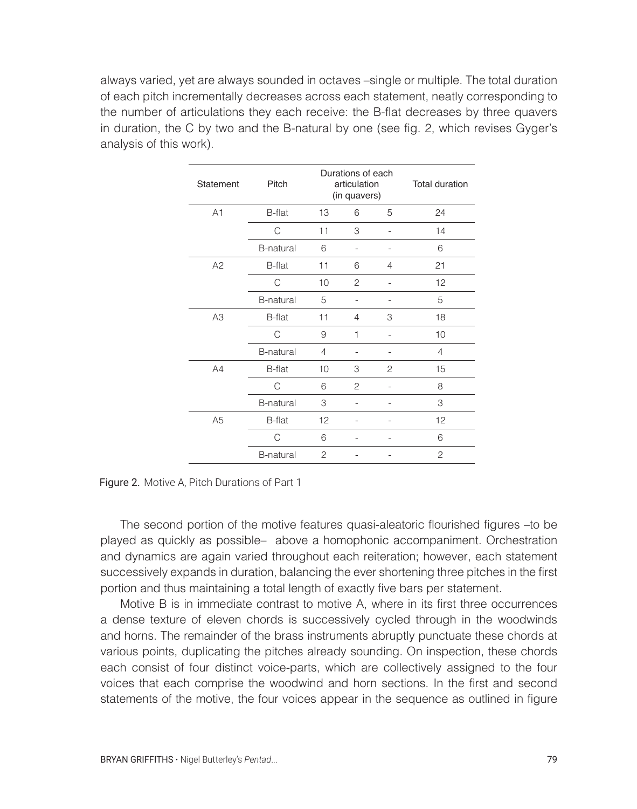always varied, yet are always sounded in octaves –single or multiple. The total duration of each pitch incrementally decreases across each statement, neatly corresponding to the number of articulations they each receive: the B-flat decreases by three quavers in duration, the C by two and the B-natural by one (see fig. 2, which revises Gyger's analysis of this work).

| Statement      | Pitch            |                | Durations of each<br>articulation<br>(in quavers) |                | <b>Total duration</b> |
|----------------|------------------|----------------|---------------------------------------------------|----------------|-----------------------|
| A1             | <b>B-flat</b>    | 13             | 6                                                 | 5              | 24                    |
|                | C                | 11             | 3                                                 | i.             | 14                    |
|                | <b>B-natural</b> | 6              |                                                   |                | 6                     |
| A2             | <b>B-flat</b>    | 11             | 6                                                 | $\overline{4}$ | 21                    |
|                | С                | 10             | 2                                                 |                | 12                    |
|                | <b>B-natural</b> | 5              | $\overline{a}$                                    |                | 5                     |
| A <sub>3</sub> | <b>B-flat</b>    | 11             | $\overline{4}$                                    | 3              | 18                    |
|                | C                | 9              | 1                                                 | ٠              | 10                    |
|                | <b>B-natural</b> | $\overline{4}$ |                                                   |                | $\overline{4}$        |
| A4             | <b>B-flat</b>    | 10             | 3                                                 | 2              | 15                    |
|                | C                | 6              | 2                                                 |                | 8                     |
|                | <b>B-natural</b> | 3              |                                                   |                | 3                     |
| A <sub>5</sub> | <b>B-flat</b>    | 12             | ٠                                                 | ä,             | 12                    |
|                | C                | 6              |                                                   |                | 6                     |
|                | <b>B-natural</b> | $\mathcal{P}$  |                                                   | ٠              | $\overline{c}$        |

Figure 2. Motive A, Pitch Durations of Part 1

The second portion of the motive features quasi-aleatoric flourished figures –to be played as quickly as possible– above a homophonic accompaniment. Orchestration and dynamics are again varied throughout each reiteration; however, each statement successively expands in duration, balancing the ever shortening three pitches in the first portion and thus maintaining a total length of exactly five bars per statement.

Motive B is in immediate contrast to motive A, where in its first three occurrences a dense texture of eleven chords is successively cycled through in the woodwinds and horns. The remainder of the brass instruments abruptly punctuate these chords at various points, duplicating the pitches already sounding. On inspection, these chords each consist of four distinct voice-parts, which are collectively assigned to the four voices that each comprise the woodwind and horn sections. In the first and second statements of the motive, the four voices appear in the sequence as outlined in figure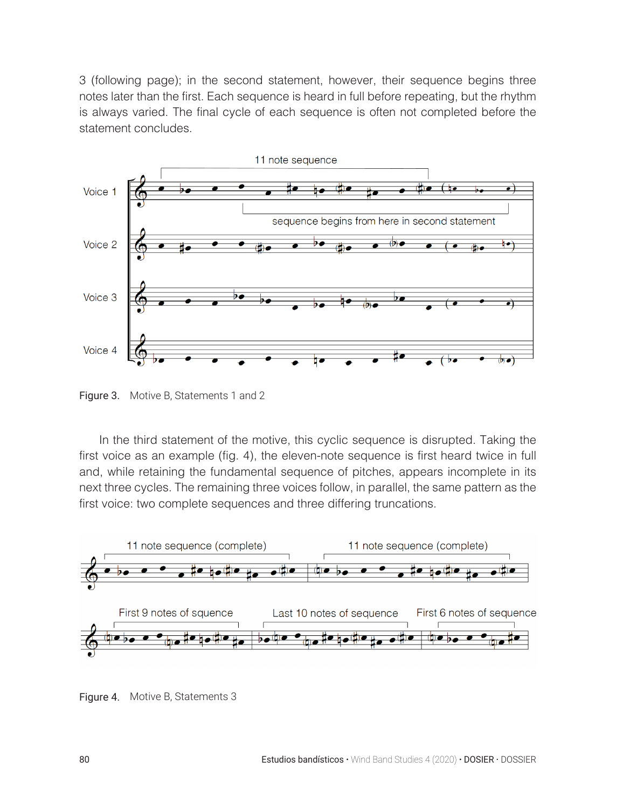3 (following page); in the second statement, however, their sequence begins three notes later than the first. Each sequence is heard in full before repeating, but the rhythm is always varied. The final cycle of each sequence is often not completed before the statement concludes.



Figure 3. Motive B, Statements 1 and 2

In the third statement of the motive, this cyclic sequence is disrupted. Taking the first voice as an example (fig. 4), the eleven-note sequence is first heard twice in full and, while retaining the fundamental sequence of pitches, appears incomplete in its next three cycles. The remaining three voices follow, in parallel, the same pattern as the first voice: two complete sequences and three differing truncations.



Figure 4. Motive B, Statements 3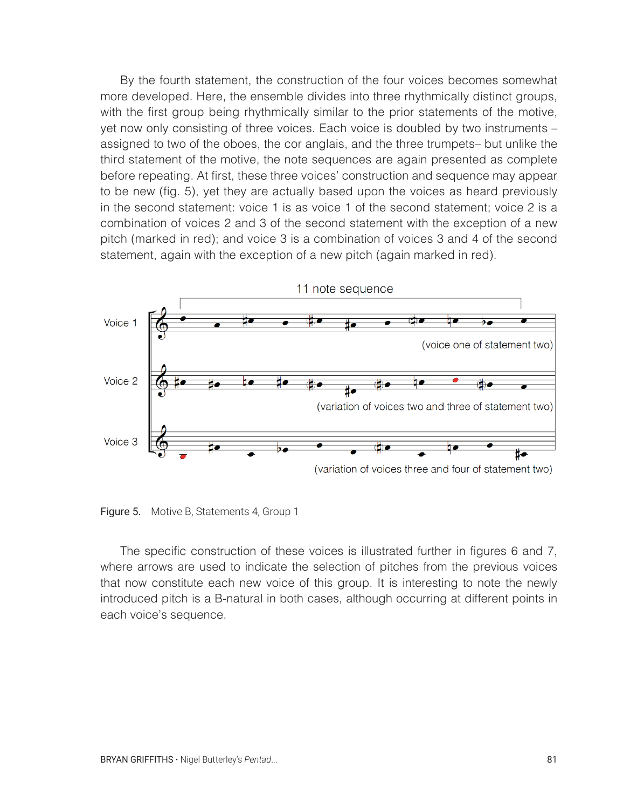By the fourth statement, the construction of the four voices becomes somewhat more developed. Here, the ensemble divides into three rhythmically distinct groups, with the first group being rhythmically similar to the prior statements of the motive, yet now only consisting of three voices. Each voice is doubled by two instruments – assigned to two of the oboes, the cor anglais, and the three trumpets– but unlike the third statement of the motive, the note sequences are again presented as complete before repeating. At first, these three voices' construction and sequence may appear to be new (fig. 5), yet they are actually based upon the voices as heard previously in the second statement: voice 1 is as voice 1 of the second statement; voice 2 is a combination of voices 2 and 3 of the second statement with the exception of a new pitch (marked in red); and voice 3 is a combination of voices 3 and 4 of the second statement, again with the exception of a new pitch (again marked in red).



Figure 5. Motive B, Statements 4, Group 1

The specific construction of these voices is illustrated further in figures 6 and 7, where arrows are used to indicate the selection of pitches from the previous voices that now constitute each new voice of this group. It is interesting to note the newly introduced pitch is a B-natural in both cases, although occurring at different points in each voice's sequence.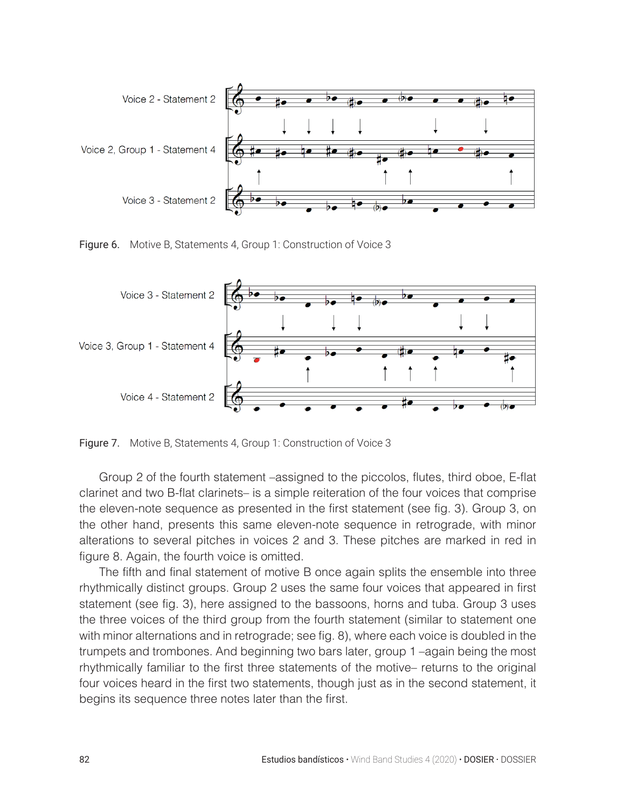

Figure 6. Motive B, Statements 4, Group 1: Construction of Voice 3



Figure 7. Motive B, Statements 4, Group 1: Construction of Voice 3

Group 2 of the fourth statement –assigned to the piccolos, flutes, third oboe, E-flat clarinet and two B-flat clarinets– is a simple reiteration of the four voices that comprise the eleven-note sequence as presented in the first statement (see fig. 3). Group 3, on the other hand, presents this same eleven-note sequence in retrograde, with minor alterations to several pitches in voices 2 and 3. These pitches are marked in red in figure 8. Again, the fourth voice is omitted.

The fifth and final statement of motive B once again splits the ensemble into three rhythmically distinct groups. Group 2 uses the same four voices that appeared in first statement (see fig. 3), here assigned to the bassoons, horns and tuba. Group 3 uses the three voices of the third group from the fourth statement (similar to statement one with minor alternations and in retrograde; see fig. 8), where each voice is doubled in the trumpets and trombones. And beginning two bars later, group 1 –again being the most rhythmically familiar to the first three statements of the motive– returns to the original four voices heard in the first two statements, though just as in the second statement, it begins its sequence three notes later than the first.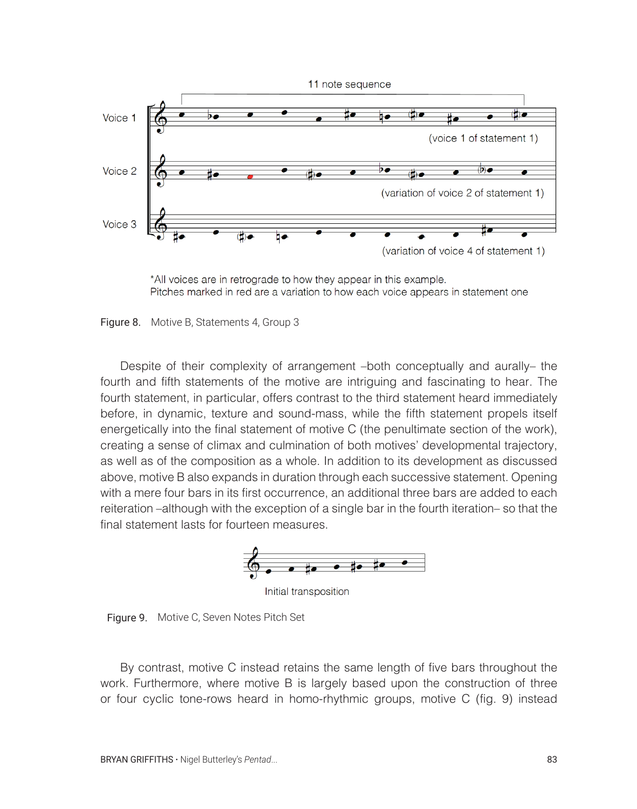

\*All voices are in retrograde to how they appear in this example. Pitches marked in red are a variation to how each voice appears in statement one

Figure 8. Motive B, Statements 4, Group 3

Despite of their complexity of arrangement –both conceptually and aurally– the fourth and fifth statements of the motive are intriguing and fascinating to hear. The fourth statement, in particular, offers contrast to the third statement heard immediately before, in dynamic, texture and sound-mass, while the fifth statement propels itself energetically into the final statement of motive C (the penultimate section of the work), creating a sense of climax and culmination of both motives' developmental trajectory, as well as of the composition as a whole. In addition to its development as discussed above, motive B also expands in duration through each successive statement. Opening with a mere four bars in its first occurrence, an additional three bars are added to each reiteration –although with the exception of a single bar in the fourth iteration– so that the final statement lasts for fourteen measures.



Initial transposition

Figure 9. Motive C, Seven Notes Pitch Set

By contrast, motive C instead retains the same length of five bars throughout the work. Furthermore, where motive B is largely based upon the construction of three or four cyclic tone-rows heard in homo-rhythmic groups, motive C (fig. 9) instead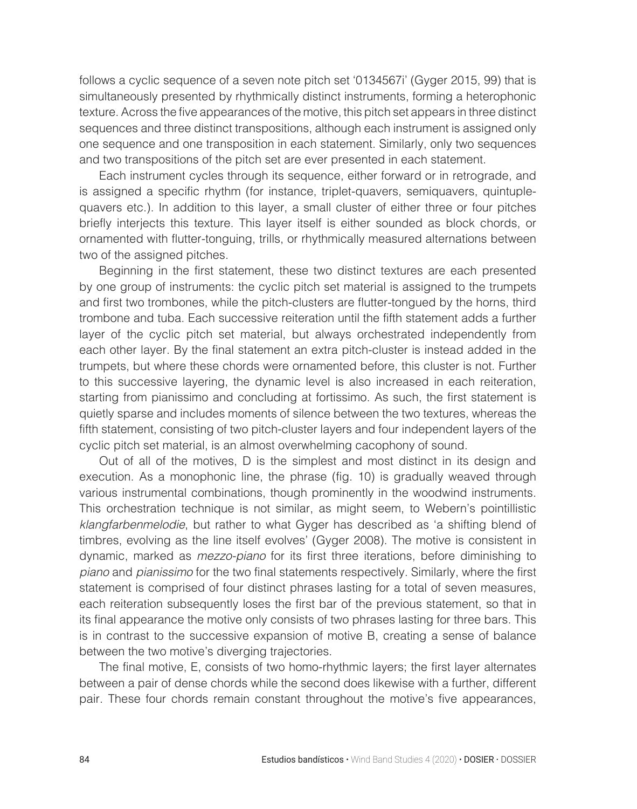follows a cyclic sequence of a seven note pitch set '0134567i' (Gyger 2015, 99) that is simultaneously presented by rhythmically distinct instruments, forming a heterophonic texture. Across the five appearances of the motive, this pitch set appears in three distinct sequences and three distinct transpositions, although each instrument is assigned only one sequence and one transposition in each statement. Similarly, only two sequences and two transpositions of the pitch set are ever presented in each statement.

Each instrument cycles through its sequence, either forward or in retrograde, and is assigned a specific rhythm (for instance, triplet-quavers, semiquavers, quintuplequavers etc.). In addition to this layer, a small cluster of either three or four pitches briefly interjects this texture. This layer itself is either sounded as block chords, or ornamented with flutter-tonguing, trills, or rhythmically measured alternations between two of the assigned pitches.

Beginning in the first statement, these two distinct textures are each presented by one group of instruments: the cyclic pitch set material is assigned to the trumpets and first two trombones, while the pitch-clusters are flutter-tongued by the horns, third trombone and tuba. Each successive reiteration until the fifth statement adds a further layer of the cyclic pitch set material, but always orchestrated independently from each other layer. By the final statement an extra pitch-cluster is instead added in the trumpets, but where these chords were ornamented before, this cluster is not. Further to this successive layering, the dynamic level is also increased in each reiteration, starting from pianissimo and concluding at fortissimo. As such, the first statement is quietly sparse and includes moments of silence between the two textures, whereas the fifth statement, consisting of two pitch-cluster layers and four independent layers of the cyclic pitch set material, is an almost overwhelming cacophony of sound.

Out of all of the motives, D is the simplest and most distinct in its design and execution. As a monophonic line, the phrase (fig. 10) is gradually weaved through various instrumental combinations, though prominently in the woodwind instruments. This orchestration technique is not similar, as might seem, to Webern's pointillistic klangfarbenmelodie, but rather to what Gyger has described as 'a shifting blend of timbres, evolving as the line itself evolves' (Gyger 2008). The motive is consistent in dynamic, marked as mezzo-piano for its first three iterations, before diminishing to piano and pianissimo for the two final statements respectively. Similarly, where the first statement is comprised of four distinct phrases lasting for a total of seven measures, each reiteration subsequently loses the first bar of the previous statement, so that in its final appearance the motive only consists of two phrases lasting for three bars. This is in contrast to the successive expansion of motive B, creating a sense of balance between the two motive's diverging trajectories.

The final motive, E, consists of two homo-rhythmic layers; the first layer alternates between a pair of dense chords while the second does likewise with a further, different pair. These four chords remain constant throughout the motive's five appearances,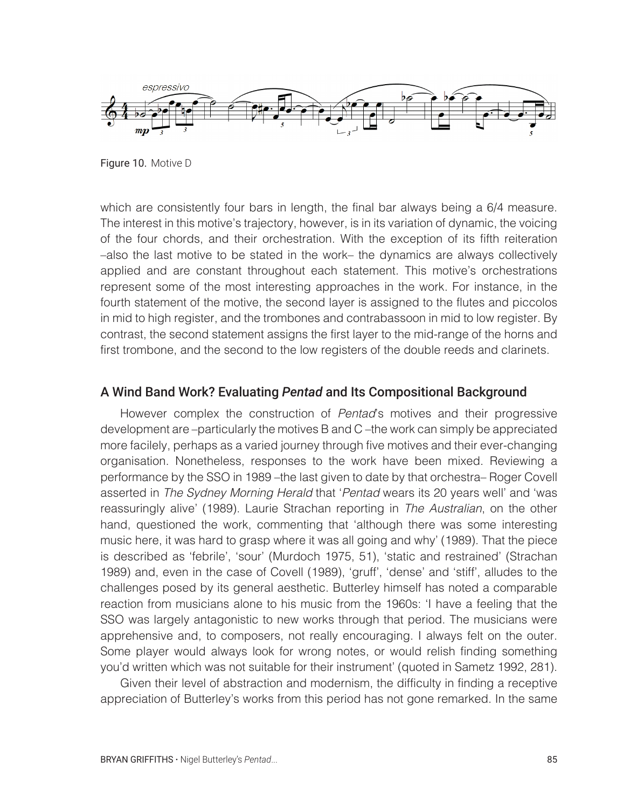

Figure 10. Motive D

which are consistently four bars in length, the final bar always being a 6/4 measure. The interest in this motive's trajectory, however, is in its variation of dynamic, the voicing of the four chords, and their orchestration. With the exception of its fifth reiteration –also the last motive to be stated in the work– the dynamics are always collectively applied and are constant throughout each statement. This motive's orchestrations represent some of the most interesting approaches in the work. For instance, in the fourth statement of the motive, the second layer is assigned to the flutes and piccolos in mid to high register, and the trombones and contrabassoon in mid to low register. By contrast, the second statement assigns the first layer to the mid-range of the horns and first trombone, and the second to the low registers of the double reeds and clarinets.

# A Wind Band Work? Evaluating *Pentad* and Its Compositional Background

However complex the construction of *Pentad's* motives and their progressive development are –particularly the motives B and C –the work can simply be appreciated more facilely, perhaps as a varied journey through five motives and their ever-changing organisation. Nonetheless, responses to the work have been mixed. Reviewing a performance by the SSO in 1989–the last given to date by that orchestra– Roger Covell asserted in The Sydney Morning Herald that 'Pentad wears its 20 years well' and 'was reassuringly alive' (1989). Laurie Strachan reporting in The Australian, on the other hand, questioned the work, commenting that 'although there was some interesting music here, it was hard to grasp where it was all going and why' (1989). That the piece is described as 'febrile', 'sour' (Murdoch 1975, 51), 'static and restrained' (Strachan 1989) and, even in the case of Covell (1989), 'gruff', 'dense' and 'stiff', alludes to the challenges posed by its general aesthetic. Butterley himself has noted a comparable reaction from musicians alone to his music from the 1960s: 'I have a feeling that the SSO was largely antagonistic to new works through that period. The musicians were apprehensive and, to composers, not really encouraging. I always felt on the outer. Some player would always look for wrong notes, or would relish finding something you'd written which was not suitable for their instrument' (quoted in Sametz 1992, 281).

Given their level of abstraction and modernism, the difficulty in finding a receptive appreciation of Butterley's works from this period has not gone remarked. In the same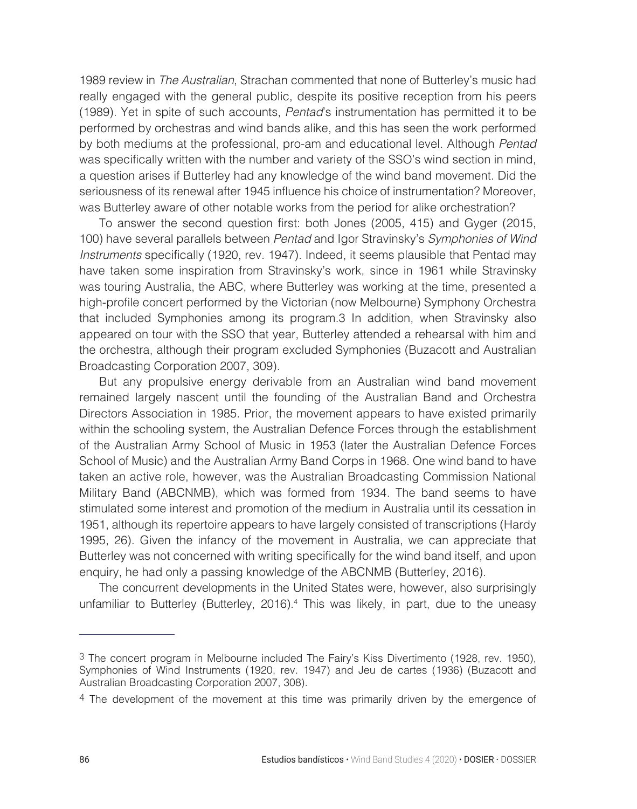1989 review in The Australian, Strachan commented that none of Butterley's music had really engaged with the general public, despite its positive reception from his peers (1989). Yet in spite of such accounts, Pentad's instrumentation has permitted it to be performed by orchestras and wind bands alike, and this has seen the work performed by both mediums at the professional, pro-am and educational level. Although Pentad was specifically written with the number and variety of the SSO's wind section in mind, a question arises if Butterley had any knowledge of the wind band movement. Did the seriousness of its renewal after 1945 influence his choice of instrumentation? Moreover, was Butterley aware of other notable works from the period for alike orchestration?

To answer the second question first: both Jones (2005, 415) and Gyger (2015, 100) have several parallels between Pentad and Igor Stravinsky's Symphonies of Wind Instruments specifically (1920, rev. 1947). Indeed, it seems plausible that Pentad may have taken some inspiration from Stravinsky's work, since in 1961 while Stravinsky was touring Australia, the ABC, where Butterley was working at the time, presented a high-profile concert performed by the Victorian (now Melbourne) Symphony Orchestra that included Symphonies among its program.3 In addition, when Stravinsky also appeared on tour with the SSO that year, Butterley attended a rehearsal with him and the orchestra, although their program excluded Symphonies (Buzacott and Australian Broadcasting Corporation 2007, 309).

But any propulsive energy derivable from an Australian wind band movement remained largely nascent until the founding of the Australian Band and Orchestra Directors Association in 1985. Prior, the movement appears to have existed primarily within the schooling system, the Australian Defence Forces through the establishment of the Australian Army School of Music in 1953 (later the Australian Defence Forces School of Music) and the Australian Army Band Corps in 1968. One wind band to have taken an active role, however, was the Australian Broadcasting Commission National Military Band (ABCNMB), which was formed from 1934. The band seems to have stimulated some interest and promotion of the medium in Australia until its cessation in 1951, although its repertoire appears to have largely consisted of transcriptions (Hardy 1995, 26). Given the infancy of the movement in Australia, we can appreciate that Butterley was not concerned with writing specifically for the wind band itself, and upon enquiry, he had only a passing knowledge of the ABCNMB (Butterley, 2016).

The concurrent developments in the United States were, however, also surprisingly unfamiliar to Butterley (Butterley, 2016).4 This was likely, in part, due to the uneasy

<sup>3</sup> The concert program in Melbourne included The Fairy's Kiss Divertimento (1928, rev. 1950), Symphonies of Wind Instruments (1920, rev. 1947) and Jeu de cartes (1936) (Buzacott and Australian Broadcasting Corporation 2007, 308).

<sup>&</sup>lt;sup>4</sup> The development of the movement at this time was primarily driven by the emergence of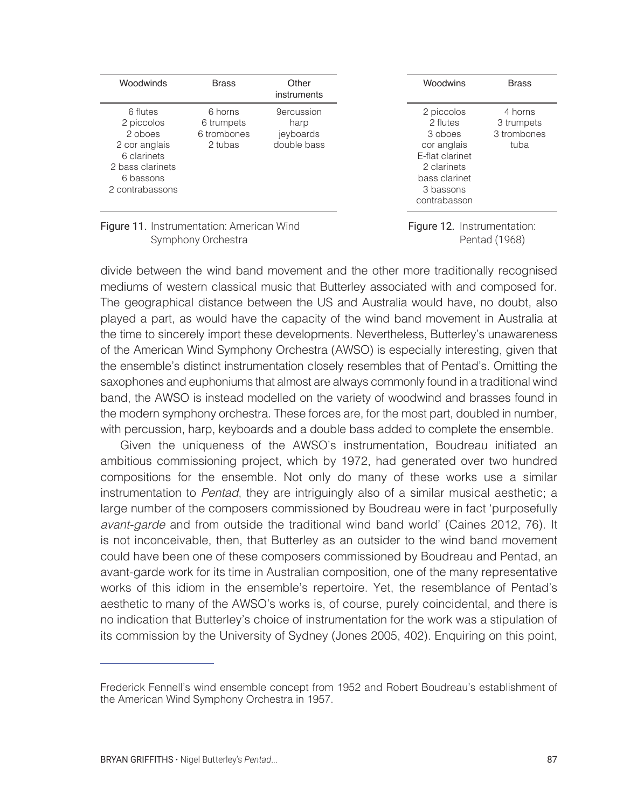| Woodwinds                                                                                                             | <b>Brass</b>                                    | Other<br>instruments                                  |
|-----------------------------------------------------------------------------------------------------------------------|-------------------------------------------------|-------------------------------------------------------|
| 6 flutes<br>2 piccolos<br>2 oboes<br>2 cor anglais<br>6 clarinets<br>2 bass clarinets<br>6 bassons<br>2 contrabassons | 6 horns<br>6 trumpets<br>6 trombones<br>2 tubas | <b>9ercussion</b><br>harp<br>jeyboards<br>double bass |

Woodwins Brass 2 piccolos 2 flutes 3 oboes cor anglais E-flat clarinet 2 clarinets bass clarinet 3 bassons contrabasson 4 horns 3 trumpets 3 trombones tuba

Figure 11. Instrumentation: American Wind Symphony Orchestra

Figure 12. Instrumentation: Pentad (1968)

divide between the wind band movement and the other more traditionally recognised mediums of western classical music that Butterley associated with and composed for. The geographical distance between the US and Australia would have, no doubt, also played a part, as would have the capacity of the wind band movement in Australia at the time to sincerely import these developments. Nevertheless, Butterley's unawareness of the American Wind Symphony Orchestra (AWSO) is especially interesting, given that the ensemble's distinct instrumentation closely resembles that of Pentad's. Omitting the saxophones and euphoniums that almost are always commonly found in a traditional wind band, the AWSO is instead modelled on the variety of woodwind and brasses found in the modern symphony orchestra. These forces are, for the most part, doubled in number, with percussion, harp, keyboards and a double bass added to complete the ensemble.

Given the uniqueness of the AWSO's instrumentation, Boudreau initiated an ambitious commissioning project, which by 1972, had generated over two hundred compositions for the ensemble. Not only do many of these works use a similar instrumentation to Pentad, they are intriguingly also of a similar musical aesthetic; a large number of the composers commissioned by Boudreau were in fact 'purposefully avant-garde and from outside the traditional wind band world' (Caines 2012, 76). It is not inconceivable, then, that Butterley as an outsider to the wind band movement could have been one of these composers commissioned by Boudreau and Pentad, an avant-garde work for its time in Australian composition, one of the many representative works of this idiom in the ensemble's repertoire. Yet, the resemblance of Pentad's aesthetic to many of the AWSO's works is, of course, purely coincidental, and there is no indication that Butterley's choice of instrumentation for the work was a stipulation of its commission by the University of Sydney (Jones 2005, 402). Enquiring on this point,

Frederick Fennell's wind ensemble concept from 1952 and Robert Boudreau's establishment of the American Wind Symphony Orchestra in 1957.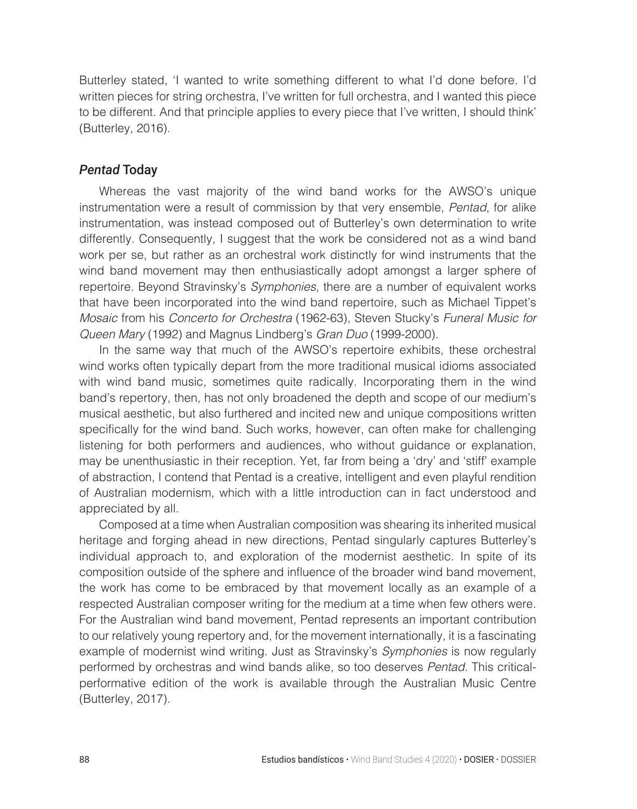Butterley stated, 'I wanted to write something different to what I'd done before. I'd written pieces for string orchestra, I've written for full orchestra, and I wanted this piece to be different. And that principle applies to every piece that I've written, I should think' (Butterley, 2016).

# *Pentad* Today

Whereas the vast majority of the wind band works for the AWSO's unique instrumentation were a result of commission by that very ensemble, Pentad, for alike instrumentation, was instead composed out of Butterley's own determination to write differently. Consequently, I suggest that the work be considered not as a wind band work per se, but rather as an orchestral work distinctly for wind instruments that the wind band movement may then enthusiastically adopt amongst a larger sphere of repertoire. Beyond Stravinsky's Symphonies, there are a number of equivalent works that have been incorporated into the wind band repertoire, such as Michael Tippet's Mosaic from his Concerto for Orchestra (1962-63), Steven Stucky's Funeral Music for Queen Mary (1992) and Magnus Lindberg's Gran Duo (1999-2000).

In the same way that much of the AWSO's repertoire exhibits, these orchestral wind works often typically depart from the more traditional musical idioms associated with wind band music, sometimes quite radically. Incorporating them in the wind band's repertory, then, has not only broadened the depth and scope of our medium's musical aesthetic, but also furthered and incited new and unique compositions written specifically for the wind band. Such works, however, can often make for challenging listening for both performers and audiences, who without guidance or explanation, may be unenthusiastic in their reception. Yet, far from being a 'dry' and 'stiff' example of abstraction, I contend that Pentad is a creative, intelligent and even playful rendition of Australian modernism, which with a little introduction can in fact understood and appreciated by all.

Composed at a time when Australian composition was shearing its inherited musical heritage and forging ahead in new directions, Pentad singularly captures Butterley's individual approach to, and exploration of the modernist aesthetic. In spite of its composition outside of the sphere and influence of the broader wind band movement, the work has come to be embraced by that movement locally as an example of a respected Australian composer writing for the medium at a time when few others were. For the Australian wind band movement, Pentad represents an important contribution to our relatively young repertory and, for the movement internationally, it is a fascinating example of modernist wind writing. Just as Stravinsky's *Symphonies* is now regularly performed by orchestras and wind bands alike, so too deserves Pentad. This criticalperformative edition of the work is available through the Australian Music Centre (Butterley, 2017).